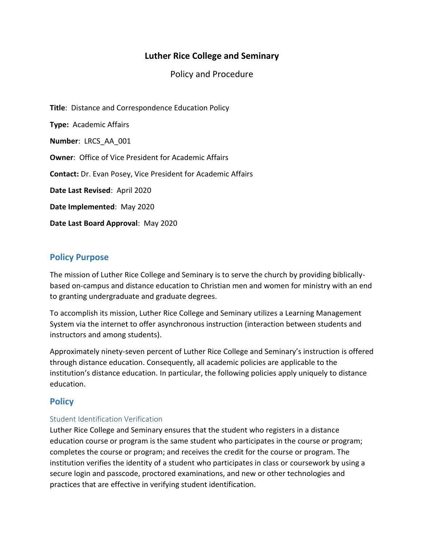# **Luther Rice College and Seminary**

Policy and Procedure

**Title**: Distance and Correspondence Education Policy **Type:** Academic Affairs **Number**: LRCS\_AA\_001 **Owner**: Office of Vice President for Academic Affairs **Contact:** Dr. Evan Posey, Vice President for Academic Affairs **Date Last Revised**: April 2020 **Date Implemented**: May 2020 **Date Last Board Approval**: May 2020

## **Policy Purpose**

The mission of Luther Rice College and Seminary is to serve the church by providing biblicallybased on-campus and distance education to Christian men and women for ministry with an end to granting undergraduate and graduate degrees.

To accomplish its mission, Luther Rice College and Seminary utilizes a Learning Management System via the internet to offer asynchronous instruction (interaction between students and instructors and among students).

Approximately ninety-seven percent of Luther Rice College and Seminary's instruction is offered through distance education. Consequently, all academic policies are applicable to the institution's distance education. In particular, the following policies apply uniquely to distance education.

## **Policy**

## Student Identification Verification

Luther Rice College and Seminary ensures that the student who registers in a distance education course or program is the same student who participates in the course or program; completes the course or program; and receives the credit for the course or program. The institution verifies the identity of a student who participates in class or coursework by using a secure login and passcode, proctored examinations, and new or other technologies and practices that are effective in verifying student identification.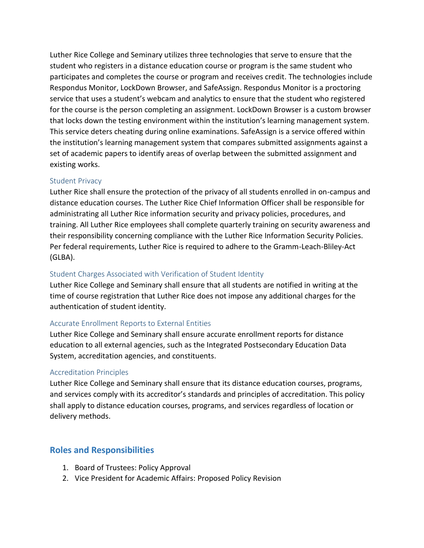Luther Rice College and Seminary utilizes three technologies that serve to ensure that the student who registers in a distance education course or program is the same student who participates and completes the course or program and receives credit. The technologies include Respondus Monitor, LockDown Browser, and SafeAssign. Respondus Monitor is a proctoring service that uses a student's webcam and analytics to ensure that the student who registered for the course is the person completing an assignment. LockDown Browser is a custom browser that locks down the testing environment within the institution's learning management system. This service deters cheating during online examinations. SafeAssign is a service offered within the institution's learning management system that compares submitted assignments against a set of academic papers to identify areas of overlap between the submitted assignment and existing works.

#### Student Privacy

Luther Rice shall ensure the protection of the privacy of all students enrolled in on-campus and distance education courses. The Luther Rice Chief Information Officer shall be responsible for administrating all Luther Rice information security and privacy policies, procedures, and training. All Luther Rice employees shall complete quarterly training on security awareness and their responsibility concerning compliance with the Luther Rice Information Security Policies. Per federal requirements, Luther Rice is required to adhere to the Gramm-Leach-Bliley-Act (GLBA).

#### Student Charges Associated with Verification of Student Identity

Luther Rice College and Seminary shall ensure that all students are notified in writing at the time of course registration that Luther Rice does not impose any additional charges for the authentication of student identity.

#### Accurate Enrollment Reports to External Entities

Luther Rice College and Seminary shall ensure accurate enrollment reports for distance education to all external agencies, such as the Integrated Postsecondary Education Data System, accreditation agencies, and constituents.

#### Accreditation Principles

Luther Rice College and Seminary shall ensure that its distance education courses, programs, and services comply with its accreditor's standards and principles of accreditation. This policy shall apply to distance education courses, programs, and services regardless of location or delivery methods.

## **Roles and Responsibilities**

- 1. Board of Trustees: Policy Approval
- 2. Vice President for Academic Affairs: Proposed Policy Revision